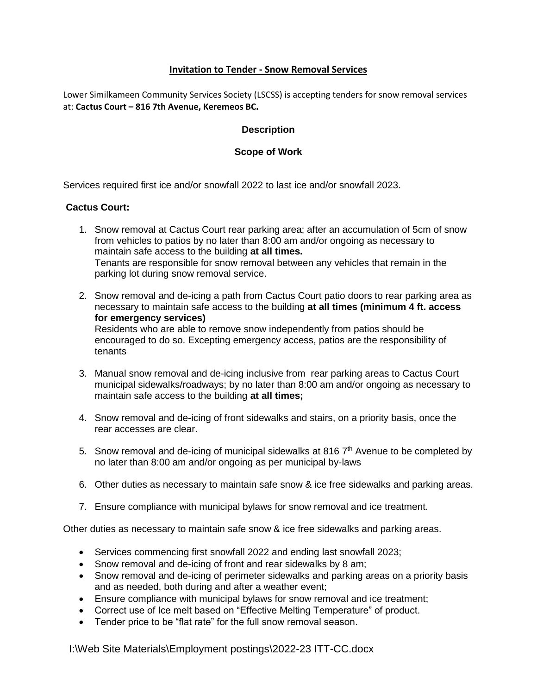# **Invitation to Tender - Snow Removal Services**

Lower Similkameen Community Services Society (LSCSS) is accepting tenders for snow removal services at: **Cactus Court – 816 7th Avenue, Keremeos BC.**

# **Description**

# **Scope of Work**

Services required first ice and/or snowfall 2022 to last ice and/or snowfall 2023.

# **Cactus Court:**

- 1. Snow removal at Cactus Court rear parking area; after an accumulation of 5cm of snow from vehicles to patios by no later than 8:00 am and/or ongoing as necessary to maintain safe access to the building **at all times.** Tenants are responsible for snow removal between any vehicles that remain in the parking lot during snow removal service.
- 2. Snow removal and de-icing a path from Cactus Court patio doors to rear parking area as necessary to maintain safe access to the building **at all times (minimum 4 ft. access for emergency services)** Residents who are able to remove snow independently from patios should be encouraged to do so. Excepting emergency access, patios are the responsibility of tenants
- 3. Manual snow removal and de-icing inclusive from rear parking areas to Cactus Court municipal sidewalks/roadways; by no later than 8:00 am and/or ongoing as necessary to maintain safe access to the building **at all times;**
- 4. Snow removal and de-icing of front sidewalks and stairs, on a priority basis, once the rear accesses are clear.
- 5. Snow removal and de-icing of municipal sidewalks at 816  $7<sup>th</sup>$  Avenue to be completed by no later than 8:00 am and/or ongoing as per municipal by-laws
- 6. Other duties as necessary to maintain safe snow & ice free sidewalks and parking areas.
- 7. Ensure compliance with municipal bylaws for snow removal and ice treatment.

Other duties as necessary to maintain safe snow & ice free sidewalks and parking areas.

- Services commencing first snowfall 2022 and ending last snowfall 2023;
- Snow removal and de-icing of front and rear sidewalks by 8 am;
- Snow removal and de-icing of perimeter sidewalks and parking areas on a priority basis and as needed, both during and after a weather event;
- Ensure compliance with municipal bylaws for snow removal and ice treatment;
- Correct use of Ice melt based on "Effective Melting Temperature" of product.
- Tender price to be "flat rate" for the full snow removal season.

I:\Web Site Materials\Employment postings\2022-23 ITT-CC.docx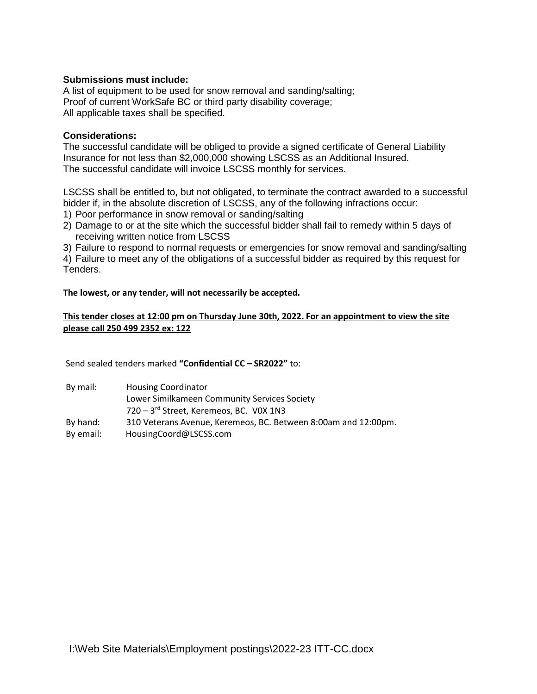# **Submissions must include:**

A list of equipment to be used for snow removal and sanding/salting; Proof of current WorkSafe BC or third party disability coverage; All applicable taxes shall be specified.

## **Considerations:**

The successful candidate will be obliged to provide a signed certificate of General Liability Insurance for not less than \$2,000,000 showing LSCSS as an Additional Insured. The successful candidate will invoice LSCSS monthly for services.

LSCSS shall be entitled to, but not obligated, to terminate the contract awarded to a successful bidder if, in the absolute discretion of LSCSS, any of the following infractions occur:

- 1) Poor performance in snow removal or sanding/salting
- 2) Damage to or at the site which the successful bidder shall fail to remedy within 5 days of receiving written notice from LSCSS

3) Failure to respond to normal requests or emergencies for snow removal and sanding/salting

4) Failure to meet any of the obligations of a successful bidder as required by this request for Tenders.

**The lowest, or any tender, will not necessarily be accepted.**

## **This tender closes at 12:00 pm on Thursday June 30th, 2022. For an appointment to view the site please call 250 499 2352 ex: 122**

Send sealed tenders marked **"Confidential CC – SR2022"** to:

| By mail:  | <b>Housing Coordinator</b>                                     |
|-----------|----------------------------------------------------------------|
|           | Lower Similkameen Community Services Society                   |
|           | 720 - 3rd Street, Keremeos, BC. VOX 1N3                        |
| By hand:  | 310 Veterans Avenue, Keremeos, BC. Between 8:00am and 12:00pm. |
| By email: | HousingCoord@LSCSS.com                                         |